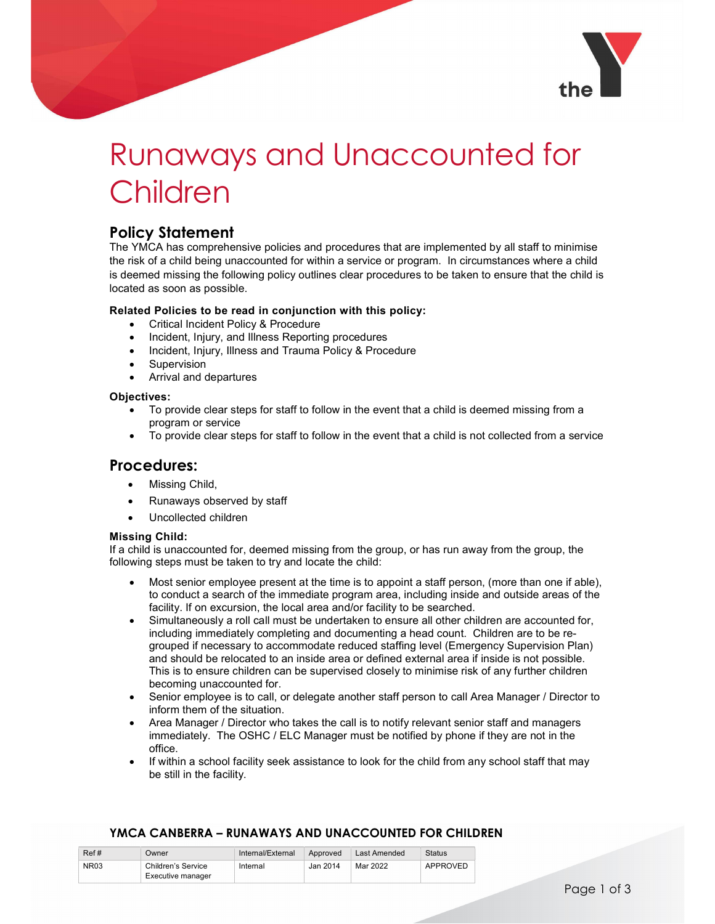

# Runaways and Unaccounted for Children

## Policy Statement

The YMCA has comprehensive policies and procedures that are implemented by all staff to minimise the risk of a child being unaccounted for within a service or program. In circumstances where a child is deemed missing the following policy outlines clear procedures to be taken to ensure that the child is located as soon as possible.

### Related Policies to be read in conjunction with this policy:

- Critical Incident Policy & Procedure
- Incident, Injury, and Illness Reporting procedures
- Incident, Injury, Illness and Trauma Policy & Procedure
- Supervision
- Arrival and departures

#### Objectives:

- To provide clear steps for staff to follow in the event that a child is deemed missing from a program or service
- To provide clear steps for staff to follow in the event that a child is not collected from a service

## Procedures:

- Missing Child,
- Runaways observed by staff
- Uncollected children

#### Missing Child:

If a child is unaccounted for, deemed missing from the group, or has run away from the group, the following steps must be taken to try and locate the child:

- Most senior employee present at the time is to appoint a staff person, (more than one if able), to conduct a search of the immediate program area, including inside and outside areas of the facility. If on excursion, the local area and/or facility to be searched.
- Simultaneously a roll call must be undertaken to ensure all other children are accounted for, including immediately completing and documenting a head count. Children are to be regrouped if necessary to accommodate reduced staffing level (Emergency Supervision Plan) and should be relocated to an inside area or defined external area if inside is not possible. This is to ensure children can be supervised closely to minimise risk of any further children becoming unaccounted for.
- Senior employee is to call, or delegate another staff person to call Area Manager / Director to inform them of the situation.
- Area Manager / Director who takes the call is to notify relevant senior staff and managers immediately. The OSHC / ELC Manager must be notified by phone if they are not in the office.
- If within a school facility seek assistance to look for the child from any school staff that may be still in the facility.

## YMCA CANBERRA – RUNAWAYS AND UNACCOUNTED FOR CHILDREN

| Ref# | Owner              | Internal/External | Approved | Last Amended | Status   |
|------|--------------------|-------------------|----------|--------------|----------|
| NR03 | Children's Service | Internal          | Jan 2014 | Mar 2022     | APPROVED |
|      | Executive manager  |                   |          |              |          |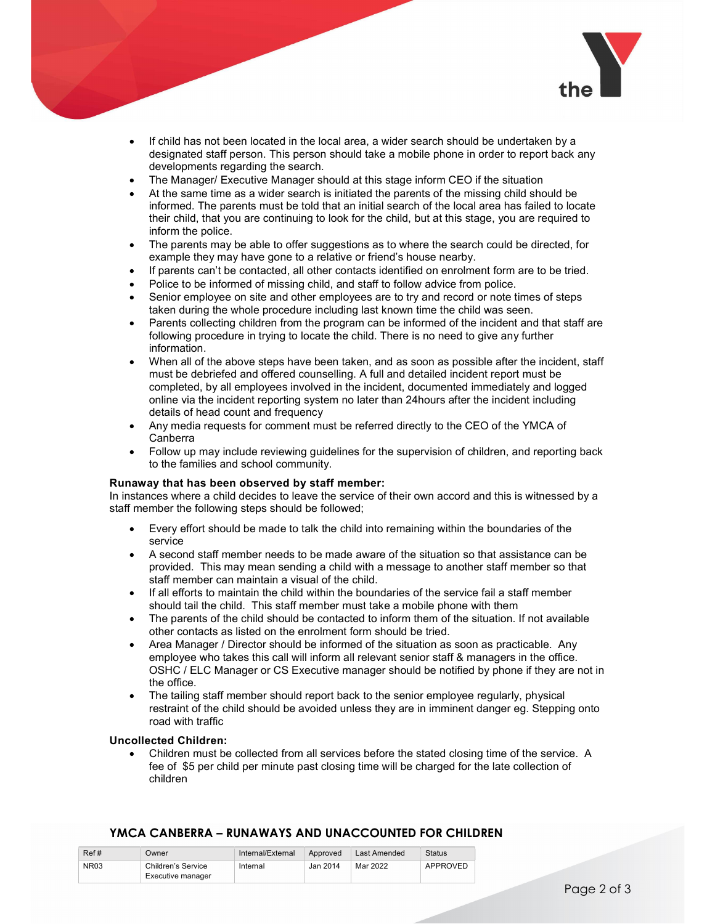

- If child has not been located in the local area, a wider search should be undertaken by a designated staff person. This person should take a mobile phone in order to report back any developments regarding the search.
- The Manager/ Executive Manager should at this stage inform CEO if the situation
- At the same time as a wider search is initiated the parents of the missing child should be informed. The parents must be told that an initial search of the local area has failed to locate their child, that you are continuing to look for the child, but at this stage, you are required to inform the police.
- The parents may be able to offer suggestions as to where the search could be directed, for example they may have gone to a relative or friend's house nearby.
- If parents can't be contacted, all other contacts identified on enrolment form are to be tried.
- Police to be informed of missing child, and staff to follow advice from police.
- Senior employee on site and other employees are to try and record or note times of steps taken during the whole procedure including last known time the child was seen.
- Parents collecting children from the program can be informed of the incident and that staff are following procedure in trying to locate the child. There is no need to give any further information.
- When all of the above steps have been taken, and as soon as possible after the incident, staff must be debriefed and offered counselling. A full and detailed incident report must be completed, by all employees involved in the incident, documented immediately and logged online via the incident reporting system no later than 24hours after the incident including details of head count and frequency
- Any media requests for comment must be referred directly to the CEO of the YMCA of Canberra
- Follow up may include reviewing guidelines for the supervision of children, and reporting back to the families and school community.

#### Runaway that has been observed by staff member:

In instances where a child decides to leave the service of their own accord and this is witnessed by a staff member the following steps should be followed;

- Every effort should be made to talk the child into remaining within the boundaries of the service
- A second staff member needs to be made aware of the situation so that assistance can be provided. This may mean sending a child with a message to another staff member so that staff member can maintain a visual of the child.
- If all efforts to maintain the child within the boundaries of the service fail a staff member should tail the child. This staff member must take a mobile phone with them
- The parents of the child should be contacted to inform them of the situation. If not available other contacts as listed on the enrolment form should be tried.
- Area Manager / Director should be informed of the situation as soon as practicable. Any employee who takes this call will inform all relevant senior staff & managers in the office. OSHC / ELC Manager or CS Executive manager should be notified by phone if they are not in the office.
- The tailing staff member should report back to the senior employee regularly, physical restraint of the child should be avoided unless they are in imminent danger eg. Stepping onto road with traffic

#### Uncollected Children:

 Children must be collected from all services before the stated closing time of the service. A fee of \$5 per child per minute past closing time will be charged for the late collection of children

#### Ref # Owner Internal/External Approved Last Amended Status NR03 Children's Service Internal Jan 2014 Executive manager Internal Jan 2014 Mar 2022 APPROVED

#### YMCA CANBERRA – RUNAWAYS AND UNACCOUNTED FOR CHILDREN